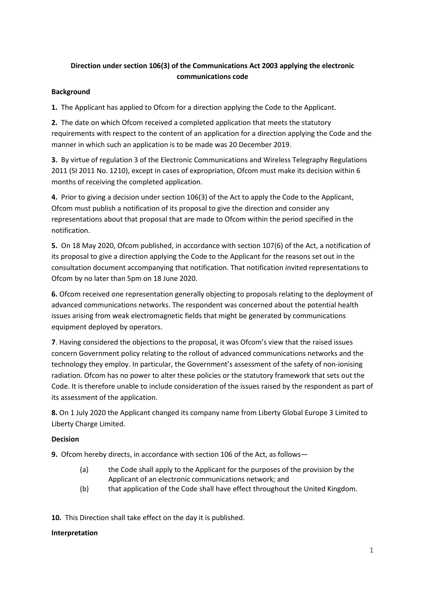# **Direction under section 106(3) of the Communications Act 2003 applying the electronic communications code**

## **Background**

**1.** The Applicant has applied to Ofcom for a direction applying the Code to the Applicant.

**2.** The date on which Ofcom received a completed application that meets the statutory requirements with respect to the content of an application for a direction applying the Code and the manner in which such an application is to be made was 20 December 2019.

**3.** By virtue of regulation 3 of the Electronic Communications and Wireless Telegraphy Regulations 2011 (SI 2011 No. 1210), except in cases of expropriation, Ofcom must make its decision within 6 months of receiving the completed application.

**4.** Prior to giving a decision under section 106(3) of the Act to apply the Code to the Applicant, Ofcom must publish a notification of its proposal to give the direction and consider any representations about that proposal that are made to Ofcom within the period specified in the notification.

**5.** On 18 May 2020, Ofcom published, in accordance with section 107(6) of the Act, a notification of its proposal to give a direction applying the Code to the Applicant for the reasons set out in the consultation document accompanying that notification. That notification invited representations to Ofcom by no later than 5pm on 18 June 2020.

**6.** Ofcom received one representation generally objecting to proposals relating to the deployment of advanced communications networks. The respondent was concerned about the potential health issues arising from weak electromagnetic fields that might be generated by communications equipment deployed by operators.

**7**. Having considered the objections to the proposal, it was Ofcom's view that the raised issues concern Government policy relating to the rollout of advanced communications networks and the technology they employ. In particular, the Government's assessment of the safety of non-ionising radiation. Ofcom has no power to alter these policies or the statutory framework that sets out the Code. It is therefore unable to include consideration of the issues raised by the respondent as part of its assessment of the application.

**8.** On 1 July 2020 the Applicant changed its company name from Liberty Global Europe 3 Limited to Liberty Charge Limited.

## **Decision**

**9.** Ofcom hereby directs, in accordance with section 106 of the Act, as follows—

- (a) the Code shall apply to the Applicant for the purposes of the provision by the Applicant of an electronic communications network; and
- (b) that application of the Code shall have effect throughout the United Kingdom.

**10.** This Direction shall take effect on the day it is published.

#### **Interpretation**